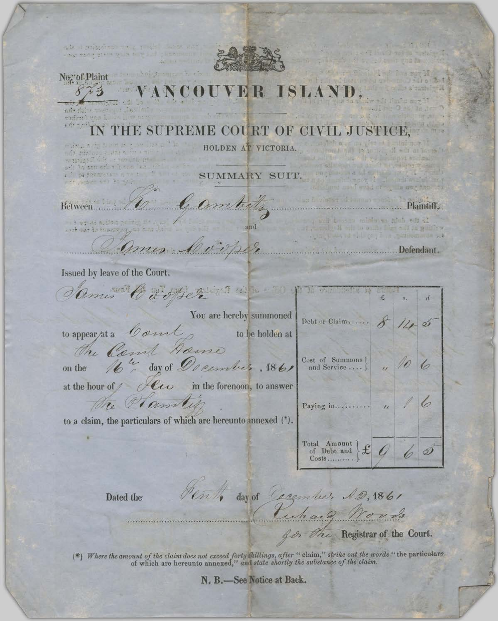alace puissance voi a risk wale a grantering in to be No. of Plaint **FR** ISLAN. madine Treese  $+$   $e^{i(x)} = e^{i(x)}$ THE SUPREME COURT OF CIVIL JUSTICE, HOLDEN AT VICTORIA. ndi bibliografiche financi<br>registe di la contrata pri ari bisan sahari kan 4 Thing Amendments in SUMMARY SUIT.  $\sqrt{1-\frac{1}{2}(\epsilon^2-1)(1-\epsilon^2)}\leq \epsilon^2\leq \frac{1}{2}(\epsilon^2-1)\leq \epsilon^2\leq \epsilon^2$ ford of a mortage to 6 Geombaltz Plaintisse Between....... 一) ますいが あぶっについ and and out to the process Ames Complete Dela Defendant. Issued by leave of the Court. Came Carpertina in 10 1 1 and 19 You are hereby summoned Debt or Claim..... Comt to appear/at a to be holden at The Court home<br>the 16th day of December, 1861 Cost of Summons  $\begin{bmatrix} 1 & 1 & 1 \\ 0 & -1 & 1 \\ 0 & 0 & 1 \end{bmatrix}$ on the at the hour of  $\ell$  of  $\ell$  in the forenoon, to answer the Hamility Paying in........... to a claim, the particulars of which are hereunto annexed (\*). Total Amount  $f$  $\mathcal{Q}$  $Costs$ ......... enth day of Carember A.D. 1861 Dated the Ruhard Words The Registrar of the Court. 800

(\*) Where the amount of the claim does not exceed forty shillings, after "claim," strike out the words "the particulars" of which are hereunto annexed," and state shortly the substance of the claim.

N. B.-See Notice at Back.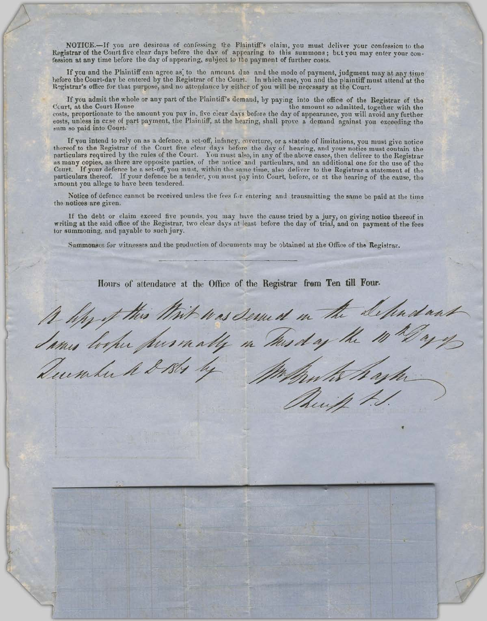NOTICE.-If you are desirous of confessing the Plaintiff's claim, you must deliver your confession to the Registrar of the Court five clear days before the day of appearing to this summons; but you may enter your confession at any time before the day of appearing, subject to the payment of further costs.

If you and the Plaintiff can agree as, to the amount due and the mode of payment, judgment may at any time hefore the Court-day be entered by the Registrar of the Court. In which case, you and the plaintiff must attend at the Registrar's office for that purpose, and no attendance by either of you will be necessary at the Court.

If you admit the whole or any part of the Plaintiff's demand, by paying into the office of the Registrar of the Court, at the Court House the amount so admitted, together with the costs, proportionate to the amount you pay in, five clear days before the day of appearance, you will avoid any further eosts, unless in case of part payment, the Plaintiff, at the hearing, shall prove a demand against you exceeding the sum so paid into Court.

If you intend to rely on as a defence, a set-off, infancy, coverture, or a statute of limitations, you must give notice thereof to the Registrar of the Court five clear days before the day of hearing, and your notice must particulars required by the rules of the Court. You must also, in any of the above cases, then deliver to the Registrar as many copies, as there are opposite parties, of the notice and particulars, and an additional one for the use of the Court. If your defence be a set-off, you must, within the same time, also deliver to the Registrar a statement of the particulars thereof. If your defence be a tender, you must pay into Court, before, or at the hearing of amount you allege to have been tendered.

Notice of defence cannot be received unless the fees for entering and transmitting the same be paid at the time the notices are given.

If the debt or claim exceed five pounds, you may have the cause tried by a jury, on giving notice thereof in writing at the said office of the Registrar, two clear days at least before the day of trial, and on payment of the fees tor summoning, and payable to such jury.

Summonses for witnesses and the production of documents may be obtained at the Office of the Registrar,

Hours of attendance at the Office of the Registrar from Ten till Four.

A lipy of this White was served in the Selendant h ask. Quember A & 1861 Phuip.

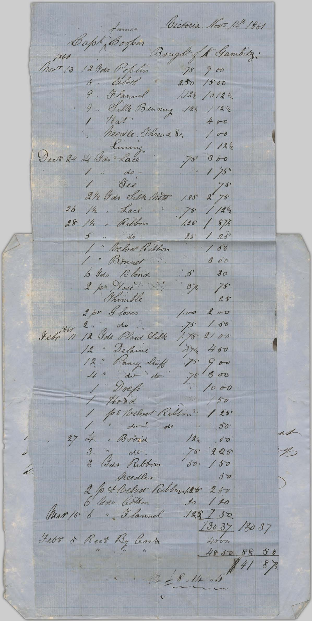James Occtoria Novo 14th 1861 Capt Cooper Bought of K. Gambitz:<br>Nov: 13 12 Jos Poplin 75 900 9. Flannel 12/2 /012 /2 9. Silk Bending .124 / 12/2 heedle Thread &c. 100 Living 12<br>Dect 24 26 Jan Lace 75' 300  $1124$ 1 do - 1 75"<br>1 de - 1 75"<br>212 Ids Silk Nett 1.85 2 75" 26 /2. Lace - 75 / 121/2 28 /h " Ribbon 1.25' / 87/2  $\frac{d}{d\sigma}$  $125$  $\mathcal{L}$  $25$ 1 " Velver Ribbon  $150$ 1. Bonnet b Ids Blond 374 75.<br>2 pr Nose 374 75.<br>2 pr Nose 374 75.<br>2 pr Gloves 1.00 200  $860$  $2 \cdot \frac{1}{2}$  do  $.75$  / 50 Febr<sup>1861</sup> 11 12 Gds Plaid Silk 1.75. 2100 12 " Delaine 374 460 4" do do 75 800 1 Drefs 1000  $1000$ 1 pr Velvet Ribbon" 125' do do 30 27 4. Broid 122 00 3 " do Ribbon 75 225 V peedles 50 2 p & Velvet Ribbork 260  $\frac{13037}{4000}$  130 37 Febr & Rect By Cearn  $485088$  $8/2$  $1228.14.5$